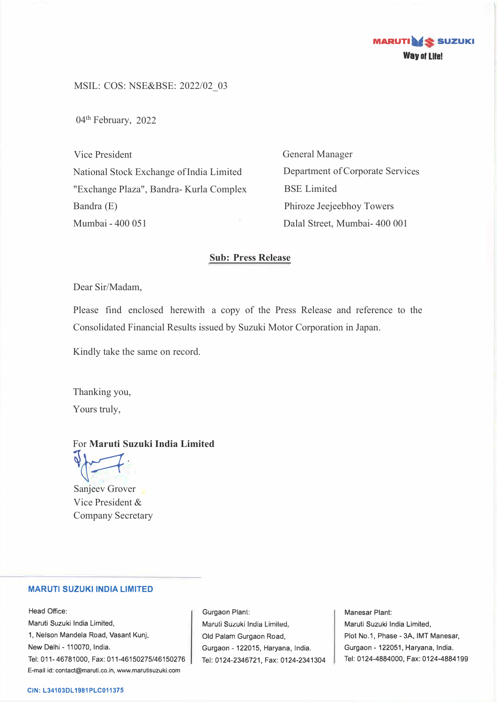

MSIL: COS: NSE&BSE: 2022/02\_03

04<sup>th</sup> February, 2022

Vice President National Stock Exchange of India Limited "Exchange Plaza", Bandra- Kurla Complex Bandra (E) Mumbai - 400 051

General Manager Department of Corporate Services BSE Limited Phiroze Jeejeebhoy Towers Dalal Street, Mumbai- 400 001

#### **Sub: Press Release**

Dear Sir/Madam,

Please find enclosed herewith a copy of the Press Release and reference to the Consolidated Financial Results issued by Suzuki Motor Corporation in Japan.

Kindly take the same on record.

Thanking you, Yours truly,

#### For **Maruti Suzuki India Limited**

 $\sqrt{2}$ 

Sanjeev Grover Vice President & Company Secretary

#### **MARUTI SUZUKI INDIA LIMITED**

Head Office: Maruti Suzuki India Limited, 1, Nelson Mandela Road, Vasant Kunj, New Delhi - 110070, India. Tel: 011-46781000, Fax: 011-46150275/46150276 E-mail id: contact@maruti.co.in, www.marutisuzuki.com

Gurgaon Plant: Maruli Suzuki India Lirniled, Old Palam Gurgaon Road, Gurgaon - 122015, Haryana, India. Tel: 0124-2346721, Fax: 0124-2341304

Manesar Plant: Maruti Suzuki India Limited, Plot No.1, Phase - 3A, IMT Manesar, Gurgaon - 122051, Haryana, India. Tel: 0124-4884000, Fax: 0124-4884199

#### **CIN: L34103DL1981PLC011375**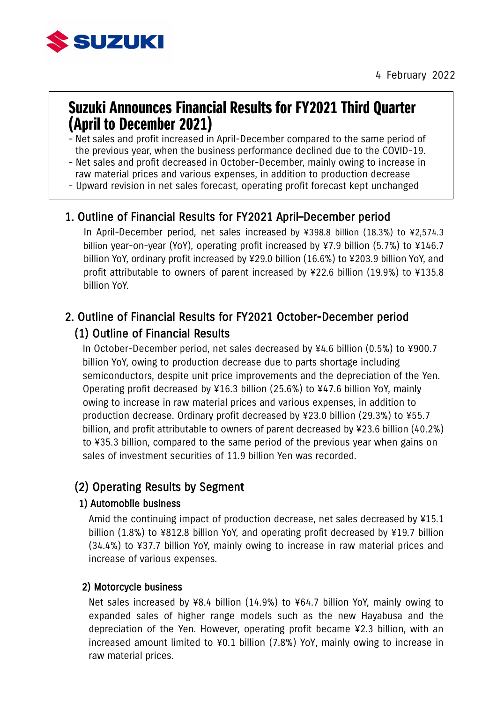

# Suzuki Announces Financial Results for FY2021 Third Quarter (April to December 2021)

- Net sales and profit increased in April-December compared to the same period of the previous year, when the business performance declined due to the COVID-19.
- Net sales and profit decreased in October-December, mainly owing to increase in raw material prices and various expenses, in addition to production decrease
- Upward revision in net sales forecast, operating profit forecast kept unchanged

## 1. Outline of Financial Results for FY2021 April–December period

In April-December period, net sales increased by ¥398.8 billion (18.3%) to ¥2,574.3 billion year-on-year (YoY), operating profit increased by ¥7.9 billion (5.7%) to ¥146.7 billion YoY, ordinary profit increased by ¥29.0 billion (16.6%) to ¥203.9 billion YoY, and profit attributable to owners of parent increased by ¥22.6 billion (19.9%) to ¥135.8 billion YoY.

## 2. Outline of Financial Results for FY2021 October-December period (1) Outline of Financial Results

In October-December period, net sales decreased by ¥4.6 billion (0.5%) to ¥900.7 billion YoY, owing to production decrease due to parts shortage including semiconductors, despite unit price improvements and the depreciation of the Yen. Operating profit decreased by ¥16.3 billion (25.6%) to ¥47.6 billion YoY, mainly owing to increase in raw material prices and various expenses, in addition to production decrease. Ordinary profit decreased by ¥23.0 billion (29.3%) to ¥55.7 billion, and profit attributable to owners of parent decreased by ¥23.6 billion (40.2%) to ¥35.3 billion, compared to the same period of the previous year when gains on sales of investment securities of 11.9 billion Yen was recorded.

## (2) Operating Results by Segment

#### 1) Automobile business

Amid the continuing impact of production decrease, net sales decreased by ¥15.1 billion (1.8%) to ¥812.8 billion YoY, and operating profit decreased by ¥19.7 billion (34.4%) to ¥37.7 billion YoY, mainly owing to increase in raw material prices and increase of various expenses.

#### 2) Motorcycle business

Net sales increased by ¥8.4 billion (14.9%) to ¥64.7 billion YoY, mainly owing to expanded sales of higher range models such as the new Hayabusa and the depreciation of the Yen. However, operating profit became ¥2.3 billion, with an increased amount limited to ¥0.1 billion (7.8%) YoY, mainly owing to increase in raw material prices.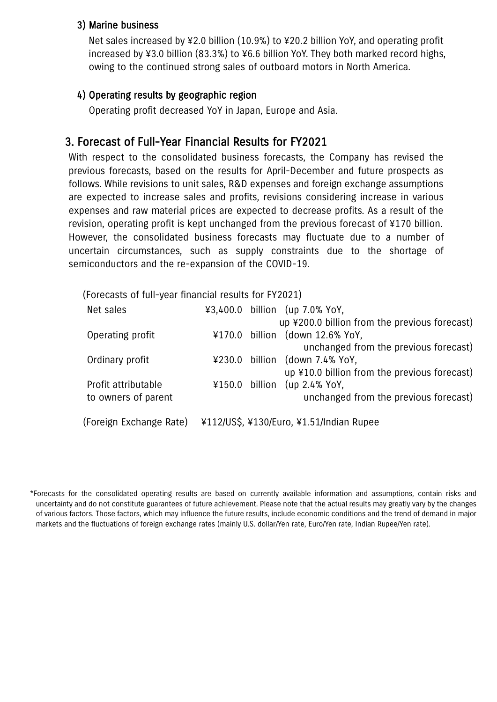#### 3) Marine business

Net sales increased by ¥2.0 billion (10.9%) to ¥20.2 billion YoY, and operating profit increased by ¥3.0 billion (83.3%) to ¥6.6 billion YoY. They both marked record highs, owing to the continued strong sales of outboard motors in North America.

### 4) Operating results by geographic region

Operating profit decreased YoY in Japan, Europe and Asia.

## 3. Forecast of Full-Year Financial Results for FY2021

With respect to the consolidated business forecasts, the Company has revised the previous forecasts, based on the results for April-December and future prospects as follows. While revisions to unit sales, R&D expenses and foreign exchange assumptions are expected to increase sales and profits, revisions considering increase in various expenses and raw material prices are expected to decrease profits. As a result of the revision, operating profit is kept unchanged from the previous forecast of ¥170 billion. However, the consolidated business forecasts may fluctuate due to a number of uncertain circumstances, such as supply constraints due to the shortage of semiconductors and the re-expansion of the COVID-19.

| (Forecasts of full-year financial results for FY2021) |        |         |                                               |
|-------------------------------------------------------|--------|---------|-----------------------------------------------|
| Net sales                                             |        |         | ¥3,400.0 billion (up 7.0% YoY,                |
|                                                       |        |         | up ¥200.0 billion from the previous forecast) |
| Operating profit                                      | ¥170.0 | billion | (down 12.6% YoY,                              |
|                                                       |        |         | unchanged from the previous forecast)         |
| Ordinary profit                                       | ¥230.0 | billion | (down 7.4% YoY,                               |
|                                                       |        |         | up ¥10.0 billion from the previous forecast)  |
| Profit attributable                                   | ¥150.0 | billion | $up 2.4\%$ YoY,                               |
| to owners of parent                                   |        |         | unchanged from the previous forecast)         |
|                                                       |        |         |                                               |
| (Foreign Exchange Rate)                               |        |         | ¥112/US\$, ¥130/Euro, ¥1.51/Indian Rupee      |

<sup>\*</sup>Forecasts for the consolidated operating results are based on currently available information and assumptions, contain risks and uncertainty and do not constitute guarantees of future achievement. Please note that the actual results may greatly vary by the changes of various factors. Those factors, which may influence the future results, include economic conditions and the trend of demand in major markets and the fluctuations of foreign exchange rates (mainly U.S. dollar/Yen rate, Euro/Yen rate, Indian Rupee/Yen rate).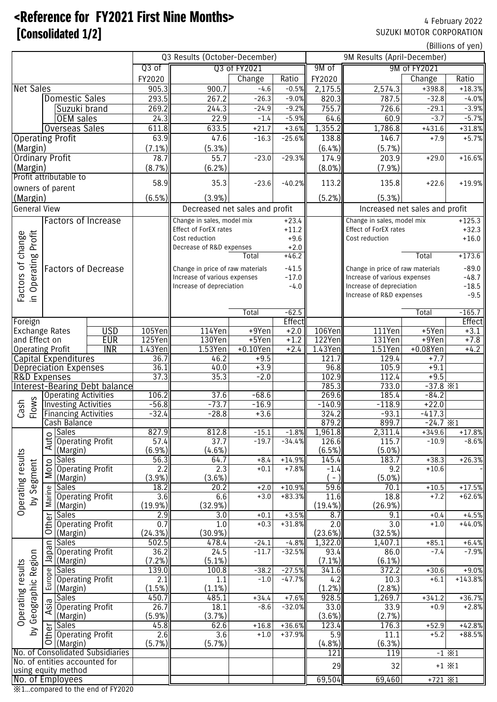# <Reference for FY2021 First Nine Months> 4 February 2022 **Example 1721** SUZUKI MOTOR CORPORATION

(Billions of yen)

|                           |                                                            |                                      |               | Q3 Results (October-December)      |                    |                     | 9M Results (April-December) |                                        |                               |                    |  |  |
|---------------------------|------------------------------------------------------------|--------------------------------------|---------------|------------------------------------|--------------------|---------------------|-----------------------------|----------------------------------------|-------------------------------|--------------------|--|--|
| Q3 of                     |                                                            |                                      |               | 03 of FY2021                       |                    |                     | 9M of<br>9M of FY2021       |                                        |                               |                    |  |  |
|                           |                                                            |                                      | FY2020        |                                    | Change             | Ratio               | FY2020                      |                                        | Change                        | Ratio              |  |  |
| <b>Net Sales</b>          |                                                            |                                      | 905.3         | 900.7                              | $-4.6$             | $-0.5%$             | 2,175.5                     | 2,574.3                                | $+398.8$                      | $+18.3%$           |  |  |
|                           | <b>Domestic Sales</b>                                      |                                      | 293.5         | 267.2                              | $-26.3$            | $-9.0%$             | 820.3                       | 787.5                                  | $-32.8$                       | $-4.0%$            |  |  |
|                           | Suzuki brand                                               |                                      | 269.2         | 244.3                              | $-24.9$            | $-9.2%$             | 755.7                       | 726.6                                  | $-29.1$                       | $-3.9%$            |  |  |
|                           | OEM sales                                                  |                                      | 24.3          | 22.9                               | $-1.4$             | $-5.9%$             | 64.6                        | 60.9                                   | $-3.7$                        | $-5.7%$            |  |  |
|                           | <b>Overseas Sales</b>                                      |                                      | 611.8         | 633.5                              | $+21.7$            | $+3.6%$             | 1,355.2                     | 1,786.8                                | $+431.6$                      | $+31.8%$           |  |  |
|                           | <b>Operating Profit</b>                                    |                                      | 63.9          | 47.6                               | $-16.3$            | $-25.6%$            | 138.8                       | 146.7                                  | $+7.9$                        | $+5.7%$            |  |  |
| (Margin)                  |                                                            | (7.1%)                               | (5.3%)        |                                    |                    | (6.4%)              | (5.7%)                      |                                        |                               |                    |  |  |
| <b>Ordinary Profit</b>    |                                                            |                                      | 78.7          | 55.7                               | $-23.0$            | $-29.3%$            | 174.9                       | 203.9                                  | $+29.0$                       | $+16.6%$           |  |  |
| (Margin)                  |                                                            |                                      | (8.7%)        | (6.2%)                             |                    |                     | $(8.0\%)$                   | $(7.9\%)$                              |                               |                    |  |  |
|                           | Profit attributable to                                     |                                      |               |                                    |                    |                     |                             |                                        |                               |                    |  |  |
|                           | owners of parent                                           |                                      | 58.9          | 35.3                               | $-23.6$            | $-40.2%$            | 113.2                       | 135.8                                  | $+22.6$                       | $+19.9%$           |  |  |
| (Margin)                  |                                                            |                                      | (6.5%)        | (3.9%)                             |                    |                     | (5.2%)                      | (5.3%)                                 |                               |                    |  |  |
| <b>General View</b>       |                                                            |                                      |               | Decreased net sales and profit     |                    |                     |                             | Increased net sales and profit         |                               |                    |  |  |
|                           | <b>Factors of Increase</b>                                 |                                      |               | Change in sales, model mix         |                    | $+23.4$             |                             | Change in sales, model mix<br>$+125.3$ |                               |                    |  |  |
|                           |                                                            |                                      |               | Effect of ForEX rates              |                    | $+11.2$             |                             | Effect of ForEX rates                  |                               | $+32.3$            |  |  |
|                           |                                                            |                                      |               | Cost reduction                     |                    | $+9.6$              |                             | Cost reduction                         |                               | $+16.0$            |  |  |
|                           |                                                            |                                      |               | Decrease of R&D expenses<br>$+2.0$ |                    |                     |                             |                                        |                               |                    |  |  |
| change<br>18 Profit       |                                                            |                                      |               |                                    | Total              | $+46.2$             |                             |                                        | Total                         | $+173.6$           |  |  |
| Operating                 | <b>Factors of Decrease</b>                                 |                                      |               | Change in price of raw materials   |                    | $-41.5$             |                             | Change in price of raw materials       |                               |                    |  |  |
|                           |                                                            |                                      |               | Increase of various expenses       |                    | $-17.0$             |                             | Increase of various expenses           |                               | $-89.0$<br>$-48.7$ |  |  |
|                           |                                                            |                                      |               | Increase of depreciation           |                    | $-4.0$              |                             | Increase of depreciation               |                               | $-18.5$            |  |  |
| Factors of<br>in Operatin |                                                            |                                      |               |                                    |                    |                     |                             | Increase of R&D expenses               |                               | $-9.5$             |  |  |
|                           |                                                            |                                      |               |                                    |                    |                     |                             |                                        |                               |                    |  |  |
|                           |                                                            |                                      |               |                                    | Total              | $-62.5$             |                             |                                        | Total                         | $-165.7$           |  |  |
| Foreign                   |                                                            |                                      |               |                                    |                    | Effect              |                             |                                        |                               | Effect             |  |  |
|                           | <b>Exchange Rates</b>                                      | <b>USD</b>                           | 105Yen        | 114Yen                             | $+9$ Yen           | $+2.0$              | 106Yen                      | 111Yen                                 | $+5$ Yen                      | $+3.1$             |  |  |
| and Effect on             |                                                            | <b>EUR</b>                           | 125Yen        | 130Yen                             | $+5$ Yen           | $+1.2$              | 122Yen                      | 131Yen                                 | $+9$ Yen                      | $+7.8$             |  |  |
|                           | <b>Operating Profit</b>                                    | <b>INR</b>                           | 1.43Yen       | $1.53$ Yen                         | $+0.10$ Yen        | $+2.4$              | 1.43Yen                     | $1.51$ Yen                             | $+0.08$ Yen                   | $+4.2$             |  |  |
|                           | <b>Capital Expenditures</b>                                |                                      | 36.7          | 46.2                               | $+9.5$             |                     | 121.7                       | 129.4                                  | $+7.7$                        |                    |  |  |
|                           | <b>Depreciation Expenses</b>                               |                                      | 36.1          | 40.0                               | $+3.9$             |                     | 96.8                        | 105.9                                  | $+9.1$                        |                    |  |  |
|                           | <b>R&amp;D Expenses</b>                                    |                                      | 37.3          | 35.3                               | $-2.0$             |                     | 102.9                       | 112.4<br>733.0                         | $+9.5$                        |                    |  |  |
|                           |                                                            | <b>Interest-Bearing Debt balance</b> | 106.2         | 37.6                               | $-68.6$            |                     | 785.3<br>269.6              | 185.4                                  | $-37.8$ $\times 1$<br>$-84.2$ |                    |  |  |
| Flows                     | <b>Operating Activities</b><br><b>Investing Activities</b> |                                      | $-56.8$       | $-73.7$                            | $-16.9$            |                     | $-140.9$                    | $-118.9$                               | $+22.0$                       |                    |  |  |
| Cash                      | <b>Financing Activities</b>                                |                                      | $-32.4$       | $-28.8$                            | $+3.6$             |                     | 324.2                       | $-93.1$                                | $-417.3$                      |                    |  |  |
|                           | Cash Balance                                               |                                      |               |                                    |                    |                     | 879.2                       | 899.7                                  | $-24.7*1$                     |                    |  |  |
|                           | <b>Sales</b>                                               |                                      | 827.9         | 812.8                              | $-15.1$            | $-1.8%$             | 1,961.8                     | 2,311.4                                | $+349.6$                      | $+17.8%$           |  |  |
|                           | Auto<br><b>Operating Profit</b>                            |                                      | 57.4          | 37.7                               | $-19.7$            | $-34.4%$            | 126.6                       | 115.7                                  | $-10.9$                       | $-8.6%$            |  |  |
|                           | (Margin)                                                   |                                      | (6.9%)        | (4.6%)                             |                    |                     | (6.5%)                      | $(5.0\%)$                              |                               |                    |  |  |
|                           | <b>Sales</b>                                               |                                      | 56.3          | 64.7                               | $+8.4$             | $+14.9%$            | 145.4                       | 183.7                                  | $+38.3$                       | $+26.3%$           |  |  |
| results<br>Segment        | Moto<br><b>Operating Profit</b>                            |                                      | 2.2           | 2.3                                | $+0.1$             | $+7.8%$             | $-1.4$                      | 9.2                                    | $+10.6$                       |                    |  |  |
|                           | (Margin)                                                   |                                      | $(3.9\%)$     | (3.6%)                             |                    |                     | $\overline{\phantom{a}}$    | $(5.0\%)$                              |                               |                    |  |  |
|                           | Marine<br>Sales                                            |                                      | 18.2          | 20.2                               | $+2.0$             | $+10.9%$            | 59.6                        | 70.1                                   | $+10.5$                       | $+17.5%$           |  |  |
| হ                         | <b>Operating Profit</b>                                    |                                      | 3.6           | 6.6                                | $+3.0$             | $+83.3%$            | 11.6                        | 18.8                                   | $+7.2$                        | $+62.6%$           |  |  |
| Operating                 | (Margin)                                                   |                                      | $(19.9\%)$    | (32.9%)                            |                    |                     | $(19.4\%)$                  | (26.9%)                                |                               |                    |  |  |
|                           | <b>Other</b><br>Sales                                      |                                      | 2.9           | $\overline{3.0}$                   | $+0.1$             | $+3.5%$             | 8.7                         | 9.1                                    | $+0.4$                        | $+4.5%$            |  |  |
|                           | <b>Operating Profit</b>                                    |                                      | 0.7           | 1.0                                | $+0.3$             | $+31.8%$            | 2.0                         | $\overline{3.0}$                       | $+1.0$                        | $+44.0%$           |  |  |
|                           | (Margin)                                                   |                                      | (24.3%)       | (30.9%)                            |                    |                     | (23.6%)                     | (32.5%)                                |                               |                    |  |  |
|                           | <b>Sales</b><br>Iapan<br><b>Operating Profit</b>           |                                      | 502.5<br>36.2 | 478.4<br>24.5                      | $-24.1$<br>$-11.7$ | $-4.8%$<br>$-32.5%$ | 1,322.0<br>93.4             | 1,407.1<br>86.0                        | $+85.1$<br>$-7.4$             | $+6.4%$<br>$-7.9%$ |  |  |
| Region                    | (Margin)                                                   |                                      | (7.2%)        | $(5.1\%)$                          |                    |                     | $(7.1\%)$                   | (6.1%)                                 |                               |                    |  |  |
| results                   | <b>Sales</b>                                               |                                      | 139.0         | 100.8                              | $-38.2$            | $-27.5%$            | 341.6                       | 372.2                                  | $+30.6$                       | $+9.0%$            |  |  |
|                           | <b>Operating Profit</b>                                    |                                      | 2.1           | 1.1                                | $-1.0$             | $-47.7%$            | 4.2                         | 10.3                                   | $+6.1$                        | $+143.8%$          |  |  |
|                           | Europe<br>(Margin)                                         |                                      | (1.5%)        | (1.1%)                             |                    |                     | $(1.2\%)$                   | $(2.8\%)$                              |                               |                    |  |  |
| Geographic<br>Operating   | <b>Sales</b>                                               |                                      | 450.7         | 485.1                              | $+34.4$            | $+7.6%$             | 928.5                       | 1,269.7                                | $+341.2$                      | $+36.7%$           |  |  |
|                           | Asia<br><b>Operating Profit</b>                            |                                      | 26.7          | 18.1                               | $-8.6$             | $-32.0%$            | 33.0                        | 33.9                                   | $+0.9$                        | $+2.8%$            |  |  |
|                           | (Margin)                                                   |                                      | (5.9%)        | (3.7%)                             |                    |                     | (3.6%)                      | (2.7%)                                 |                               |                    |  |  |
|                           | Sales                                                      |                                      | 45.8          | 62.6                               | $+16.8$            | $+36.6%$            | 123.4                       | 176.3                                  | $+52.9$                       | $+42.8%$           |  |  |
| ΣÀ                        | Other<br><b>Operating Profit</b>                           |                                      | 2.6           | 3.6                                | $+1.0$             | $+37.9%$            | 5.9                         | 11.1                                   | $+5.2$                        | $+88.5%$           |  |  |
|                           | (Margin)                                                   |                                      | (5.7%)        | (5.7%)                             |                    |                     | (4.8%)                      | (6.3%)                                 |                               |                    |  |  |
|                           |                                                            | No. of Consolidated Subsidiaries     |               |                                    |                    |                     | 121                         | 119                                    |                               | $-1 \times 1$      |  |  |
|                           | No. of entities accounted for                              |                                      |               |                                    |                    |                     | 29                          | 32                                     |                               | $+1 \times 1$      |  |  |
|                           | using equity method                                        |                                      |               |                                    |                    |                     |                             |                                        |                               |                    |  |  |
|                           | No. of Employees                                           |                                      |               |                                    |                    |                     | 69,504                      | 69,460                                 | $+721$ $\times 1$             |                    |  |  |

※1…compared to the end of FY2020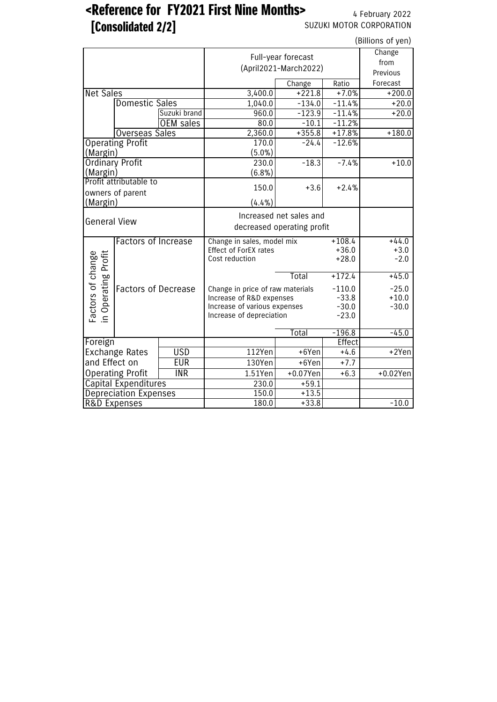# <Reference for FY2021 First Nine Months> 4 February 2022

**[Consolidated 2/2]** SUZUKI MOTOR CORPORATION

| (Billions of yen)                        |                              |                  |                                  |                                             |          |             |  |  |  |
|------------------------------------------|------------------------------|------------------|----------------------------------|---------------------------------------------|----------|-------------|--|--|--|
|                                          |                              |                  |                                  | Full-year forecast<br>(April2021-March2022) |          |             |  |  |  |
|                                          |                              |                  |                                  | Change                                      | Ratio    | Forecast    |  |  |  |
| <b>Net Sales</b>                         |                              |                  | 3,400.0                          | $+221.8$                                    | $+7.0%$  | $+200.0$    |  |  |  |
|                                          | <b>Domestic Sales</b>        |                  | 1,040.0                          | $-134.0$                                    | $-11.4%$ | $+20.0$     |  |  |  |
|                                          |                              | Suzuki brand     | 960.0                            | $-123.9$                                    | $-11.4%$ | $+20.0$     |  |  |  |
|                                          |                              | <b>OEM</b> sales | 80.0                             | $-10.1$                                     | $-11.2%$ |             |  |  |  |
|                                          | <b>Overseas Sales</b>        |                  | 2,360.0                          | $+355.8$                                    | $+17.8%$ | $+180.0$    |  |  |  |
|                                          | <b>Operating Profit</b>      |                  | 170.0                            | $-24.4$                                     | $-12.6%$ |             |  |  |  |
| (Margin)                                 |                              |                  | $(5.0\%)$                        |                                             |          |             |  |  |  |
| <b>Ordinary Profit</b>                   |                              |                  | 230.0                            | $-18.3$                                     | $-7.4%$  | $+10.0$     |  |  |  |
| (Margin)                                 |                              |                  | (6.8%)                           |                                             |          |             |  |  |  |
|                                          | Profit attributable to       |                  | 150.0                            | $+3.6$                                      | $+2.4%$  |             |  |  |  |
|                                          | owners of parent             |                  |                                  |                                             |          |             |  |  |  |
| (Margin)                                 |                              |                  | (4.4%)                           |                                             |          |             |  |  |  |
| <b>General View</b>                      |                              |                  | Increased net sales and          |                                             |          |             |  |  |  |
|                                          |                              |                  | decreased operating profit       |                                             |          |             |  |  |  |
|                                          | <b>Factors of Increase</b>   |                  | Change in sales, model mix       | $+108.4$                                    | $+44.0$  |             |  |  |  |
|                                          |                              |                  | <b>Effect of ForEX rates</b>     | $+36.0$                                     | $+3.0$   |             |  |  |  |
| Factors of change<br>in Operating Profit |                              |                  | Cost reduction                   | $+28.0$                                     | $-2.0$   |             |  |  |  |
|                                          |                              |                  |                                  |                                             |          |             |  |  |  |
|                                          |                              |                  |                                  | $+172.4$                                    | $+45.0$  |             |  |  |  |
|                                          | <b>Factors of Decrease</b>   |                  | Change in price of raw materials | $-110.0$<br>$-33.8$                         | $-25.0$  |             |  |  |  |
|                                          |                              |                  | Increase of R&D expenses         | $+10.0$                                     |          |             |  |  |  |
|                                          |                              |                  | Increase of various expenses     | $-30.0$                                     | $-30.0$  |             |  |  |  |
|                                          |                              |                  | Increase of depreciation         |                                             | $-23.0$  |             |  |  |  |
|                                          |                              |                  |                                  | Total                                       | $-196.8$ | $-45.0$     |  |  |  |
| Foreign                                  |                              |                  |                                  |                                             | Effect   |             |  |  |  |
| <b>USD</b><br><b>Exchange Rates</b>      |                              | 112Yen           | $+6$ Yen                         | $+4.6$                                      | +2Yen    |             |  |  |  |
| and Effect on<br><b>EUR</b>              |                              |                  | 130Yen                           | +6Yen                                       | $+7.7$   |             |  |  |  |
| <b>Operating Profit</b><br><b>INR</b>    |                              |                  | 1.51Yen                          | $+0.07$ Yen                                 | $+6.3$   | $+0.02$ Yen |  |  |  |
|                                          | <b>Capital Expenditures</b>  |                  | 230.0                            | $+59.1$                                     |          |             |  |  |  |
|                                          | <b>Depreciation Expenses</b> |                  | 150.0                            | $+13.5$                                     |          |             |  |  |  |
| <b>R&amp;D Expenses</b>                  |                              |                  | 180.0                            | $+33.8$                                     |          | $-10.0$     |  |  |  |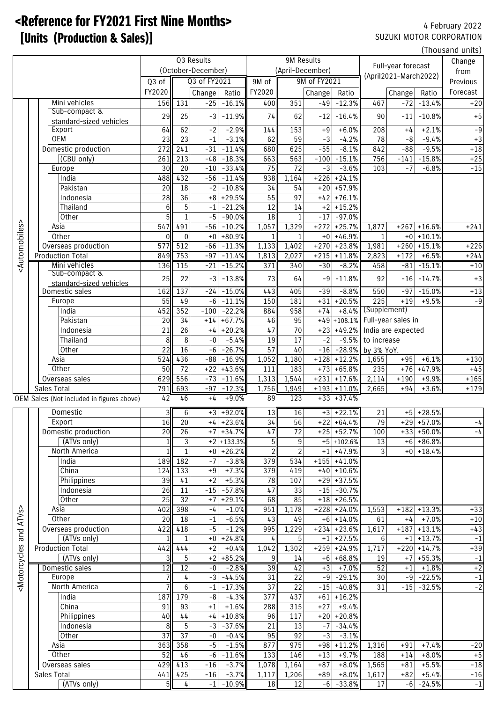# <Reference for FY2021 First Nine Months> 4 February 2022 **EXAMPLE (Production & Sales)]** SUZUKI MOTOR CORPORATION

|                                                                                                                                                                                                                                                                                                              |                                                |                              |                     |               |                         |                |                  |                  |                              |                                    |                |                              | (Thousand units) |
|--------------------------------------------------------------------------------------------------------------------------------------------------------------------------------------------------------------------------------------------------------------------------------------------------------------|------------------------------------------------|------------------------------|---------------------|---------------|-------------------------|----------------|------------------|------------------|------------------------------|------------------------------------|----------------|------------------------------|------------------|
|                                                                                                                                                                                                                                                                                                              |                                                |                              | Q3 Results          |               |                         | 9M Results     |                  |                  |                              | Full-year forecast                 |                |                              | Change           |
|                                                                                                                                                                                                                                                                                                              |                                                |                              | (October-December)  |               |                         |                | (April-December) |                  |                              | (April2021-March2022)              |                |                              | from             |
|                                                                                                                                                                                                                                                                                                              |                                                | Q3 of                        |                     | Q3 of FY2021  |                         | 9M of          |                  | 9M of FY2021     |                              |                                    |                |                              | Previous         |
|                                                                                                                                                                                                                                                                                                              |                                                | FY2020                       |                     | Change        | Ratio                   | FY2020         |                  | Change           | Ratio                        |                                    | Change         | Ratio                        | Forecast         |
|                                                                                                                                                                                                                                                                                                              | Mini vehicles                                  | 156                          | 131                 | $-25$         | $-16.1%$                | 400            | 351              | $-49$            | $-12.3%$                     | 467                                | $-72$          | $-13.4%$                     | $+20$            |
|                                                                                                                                                                                                                                                                                                              | Sub-compact &                                  | 29                           | 25                  | -3            | $-11.9%$                | 74             | 62               | $-12$            | $-16.4%$                     | 90                                 | $-11$          | $-10.8%$                     | $+5$             |
|                                                                                                                                                                                                                                                                                                              | standard-sized vehicles<br>Export              | 64                           | 62                  | $-2$          | $-2.9%$                 | 144            | 153              | $+9$             | $+6.0%$                      | 208                                | $+4$           | $+2.1%$                      | $-9$             |
|                                                                                                                                                                                                                                                                                                              | <b>OEM</b>                                     | 23                           | $\overline{23}$     | $-1$          | $-3.1%$                 | 62             | 59               | $-3$             | $-4.2%$                      | 78                                 | -8             | $-9.4%$                      | $+3$             |
|                                                                                                                                                                                                                                                                                                              | Domestic production                            | 272                          | 241                 | $-31$         | $-11.4%$                | 680            | 625              | $-55$            | $-8.1%$                      | 842                                | $-88$          | $-9.5%$                      | $+18$            |
|                                                                                                                                                                                                                                                                                                              | (CBU only)                                     | 261                          | 213                 | $-48$         | $-18.3%$                | 663            | 563              | $-100$           | $-15.1%$                     | 756                                | $-141$         | $-15.8%$                     | $+25$            |
|                                                                                                                                                                                                                                                                                                              | Europe                                         | 30                           | $\overline{20}$     | $-10$         | $-33.4%$                | 75             | $\overline{72}$  | $-3$             | $-3.6%$                      | 103                                | $-7$           | $-6.8%$                      | $-15$            |
|                                                                                                                                                                                                                                                                                                              | India                                          | 488                          | 432                 | $-56$         | $-11.4%$                | 938            | 1,164            |                  | $+226$ +24.1%                |                                    |                |                              |                  |
|                                                                                                                                                                                                                                                                                                              | Pakistan                                       | 20                           | 18                  | $-2$          | $-10.8%$                | 34             | 54               |                  | $+20$ +57.9%                 |                                    |                |                              |                  |
|                                                                                                                                                                                                                                                                                                              | Indonesia                                      | 28                           | $\overline{36}$     | $+8$          | $+29.5%$                | 55             | 97               |                  | $+42$ +76.1%                 |                                    |                |                              |                  |
|                                                                                                                                                                                                                                                                                                              | Thailand                                       | 6                            | 5                   | $-1$          | $-21.2%$                | 12             | 14               |                  | $+2$ + 15.2%                 |                                    |                |                              |                  |
|                                                                                                                                                                                                                                                                                                              | <b>Other</b>                                   | 5 <sup>1</sup>               | $\mathbf{1}$        | $-5$          | $-90.0%$                | 18             | $\mathbf{1}$     | $-17$            | $-97.0%$                     |                                    |                |                              |                  |
|                                                                                                                                                                                                                                                                                                              | Asia                                           | 547                          | 491                 | $-56$         | $-10.2%$                | 1,057          | 1,329            | $+272$           | $+25.7%$                     | 1,877                              | $+267$         | $+16.6%$                     | $+241$           |
|                                                                                                                                                                                                                                                                                                              | Other                                          | $\Omega$<br>$\overline{577}$ | $\mathbf{0}$<br>512 | $+0$<br>$-66$ | $+80.9%$<br>$-11.3%$    | $1\mathsf{I}$  | $\mathbf{1}$     | $+0$             | $+46.9%$<br>$+23.8%$         | $\mathbf{1}$                       | $+0$<br>$+260$ | $+10.1%$<br>$+15.1%$         | $+226$           |
| <automobiles></automobiles>                                                                                                                                                                                                                                                                                  | Overseas production<br><b>Production Total</b> | 849                          | 753                 | $-97$         | $-11.4%$                | 1,133<br>1,813 | 1,402<br>2,027   | $+270$<br>$+215$ | $+11.8%$                     | 1,981<br>2,823                     | $+172$         | $+6.5%$                      | $+244$           |
|                                                                                                                                                                                                                                                                                                              | Mini vehicles                                  | 136                          | 115                 | $-21$         | $-15.2%$                | 371            | 340              | $-30$            | $-8.2%$                      | 458                                | $-81$          | $-15.1%$                     | $+10$            |
|                                                                                                                                                                                                                                                                                                              | Sub-compact &                                  |                              |                     |               |                         |                |                  |                  |                              |                                    |                |                              |                  |
|                                                                                                                                                                                                                                                                                                              | standard-sized vehicles                        | 25                           | 22                  | $-3$          | $-13.8%$                | 73             | 64               | $-9$             | $-11.8%$                     | 92                                 | $-16$          | $-14.7%$                     | $+3$             |
|                                                                                                                                                                                                                                                                                                              | Domestic sales                                 | 162                          | 137                 | $-24$         | $-15.0%$                | 443            | 405              | $-39$            | $-8.8%$                      | 550                                | $-97$          | $-15.0%$                     | $+13$            |
|                                                                                                                                                                                                                                                                                                              | Europe                                         | 55                           | 49                  | $-6$          | $-11.1%$                | 150            | 181              | $+31$            | $+20.5%$                     | $\overline{225}$                   | $+19$          | $+9.5%$                      | $-9$             |
|                                                                                                                                                                                                                                                                                                              | India                                          | 452                          | 352                 | $-100$        | $-22.2%$                | 884            | 958              | $+74$            |                              | +8.4% (Supplement)                 |                |                              |                  |
|                                                                                                                                                                                                                                                                                                              | Pakistan                                       | 20                           | $\overline{34}$     | $+14$         | $+67.7%$                | 46             | 95               |                  |                              | $+49 + 108.1\%$ Full-year sales in |                |                              |                  |
|                                                                                                                                                                                                                                                                                                              | <b>Indonesia</b>                               | 21                           | 26                  | $+4$          | $+20.2%$                | 47             | 70               | $+23$            |                              | +49.2% India are expected          |                |                              |                  |
|                                                                                                                                                                                                                                                                                                              | Thailand                                       | 8                            | 8<br>16             | -0            | $-5.4%$                 | 19             | $\overline{17}$  | $-2$             | $-9.5%$                      | to increase                        |                |                              |                  |
|                                                                                                                                                                                                                                                                                                              | Other<br>Asia                                  | 22<br>524                    | 436                 | $-6$<br>$-88$ | $-26.7%$<br>$-16.9%$    | 57<br>1,052    | 40<br>1,180      | $-16$<br>$+128$  | $+12.2%$                     | -28.9% by 3% YoY.<br>1,655         | $+95$          | $+6.1%$                      | $+130$           |
|                                                                                                                                                                                                                                                                                                              | Other                                          | 50                           | $\overline{72}$     | $+22$         | $+43.6%$                | 111            | 183              | $+73$            | $+65.8%$                     | 235                                | $+76$          | $+47.9%$                     | $+45$            |
|                                                                                                                                                                                                                                                                                                              | Overseas sales                                 | 629                          | 556                 | $-73$         | $-11.6%$                | 1,313          | 1,544            | $+231$           | $+17.6%$                     | 2,114                              | $+190$         | $+9.9%$                      | $+165$           |
|                                                                                                                                                                                                                                                                                                              | Sales Total                                    | 791                          | 693                 | $-97$         | $-12.3%$                | 1,756          | 1,949            |                  | $+193$ +11.0%                | 2,665                              | $+94$          | $+3.6%$                      | $+179$           |
|                                                                                                                                                                                                                                                                                                              | OEM Sales (Not included in figures above)      | 42                           | 46                  | $+4$          | $+9.0%$                 | 89             | 123              |                  | $+33 + 37.4%$                |                                    |                |                              |                  |
|                                                                                                                                                                                                                                                                                                              | Domestic                                       | 3                            | 6                   |               | $+3$ +92.0%             | 13             | 16               |                  | $+3$ +22.1%                  | 21                                 | $+5$           | $+28.5%$                     |                  |
|                                                                                                                                                                                                                                                                                                              | Export                                         | 16                           | 20                  |               | $+4$ +23.6%             | 34             | 56               |                  | $+22$ +64.4%                 | 79                                 |                | $+29$ +57.0%                 | $-4$             |
|                                                                                                                                                                                                                                                                                                              | Domestic production                            | 20                           | $\overline{26}$     |               | $+7$ +34.7%             | 47             | 72               |                  | $+25$ +52.7%                 | 100                                |                | $+33$ +50.0%                 | $-4$             |
|                                                                                                                                                                                                                                                                                                              | (ATVs only)                                    | 1                            | $\sqrt{3}$          |               | $+2$ +133.3%            | 5              | 9                |                  | $+5$ +102.6%                 | 13                                 |                | $+6$ +86.8%                  |                  |
|                                                                                                                                                                                                                                                                                                              | North America                                  | $1\mathsf{I}$                | $\mathbf{1}$        | $+0$          | $+26.2%$                | $\overline{2}$ | $\overline{2}$   |                  | $+1$ +47.9%                  | 3 <sup>1</sup>                     |                | $+0$ +18.4%                  |                  |
|                                                                                                                                                                                                                                                                                                              | India                                          | 189                          | 182                 | $-7$          | $-3.8%$                 | 379            | 534              |                  | $+155$ +41.0%                |                                    |                |                              |                  |
|                                                                                                                                                                                                                                                                                                              | China                                          | 124                          | 133                 | $+9$          | $+7.3%$                 | 379            | 419              |                  | $+40$ +10.6%                 |                                    |                |                              |                  |
|                                                                                                                                                                                                                                                                                                              | Philippines                                    | 39                           | 41                  | $+2$          | $+5.3%$                 | 78             | 107              |                  | $+29$ + 37.5%                |                                    |                |                              |                  |
|                                                                                                                                                                                                                                                                                                              | Indonesia                                      | 26                           | 11                  | $-15$         | $-57.8%$                | 47             | 33               | $-15$            | $-30.7%$                     |                                    |                |                              |                  |
|                                                                                                                                                                                                                                                                                                              | Other                                          | 25                           | $\overline{32}$     | $+7$          | $+29.1%$                | 68             | 85               |                  | $+18$ +26.5%                 |                                    |                |                              |                  |
| ATV <sub>S</sub> :                                                                                                                                                                                                                                                                                           | Asia                                           | 402                          | 398                 | $-4$          | $-1.0%$                 | 951            | 1,178            |                  | $+228$ +24.0%                | 1,553                              | $+182$         | $+13.3%$                     | $+33$            |
|                                                                                                                                                                                                                                                                                                              | Other                                          | 20                           | 18                  | $-1$          | $-6.5%$                 | 43             | 49               |                  | $+6$ +14.0%                  | 61                                 | $+4$           | $+7.0%$                      | $+10$            |
| and                                                                                                                                                                                                                                                                                                          | Overseas production                            | 422<br>$\mathbf{1}$          | 418<br>$\mathbf{1}$ | $-5$          | $-1.2%$                 | 995            | 1,229            | $+234$           | $+23.6%$                     | 1,617                              |                | $+187$ +13.1%                | $+43$<br>$-1$    |
|                                                                                                                                                                                                                                                                                                              | (ATVs only)<br><b>Production Total</b>         | 442                          | 444                 | $+2$          | $+0 + 24.8%$<br>$+0.4%$ | 4<br>1,042     | 5<br>1,302       |                  | $+1$ +27.5%<br>$+259$ +24.9% | 6<br>1,717                         |                | $+1$ +13.7%<br>$+220$ +14.7% | $+39$            |
|                                                                                                                                                                                                                                                                                                              | (ATVs only)                                    | $\overline{\mathsf{3}}$      | $\overline{5}$      |               | $+2$ +85.2%             | 9              | 14               |                  | $+6$ +68.8%                  | 19                                 |                | $+7$ +55.3%                  | $-1$             |
|                                                                                                                                                                                                                                                                                                              | Domestic sales                                 | 12                           | 12                  | $-0$          | $-2.8%$                 | 39             | 42               | $+3$             | $+7.0%$                      | 52                                 | $+1$           | $+1.8%$                      | $+2$             |
| <motorcycles< td=""><td>Europe</td><td><math>7 \,</math></td><td>4</td><td><math>-3</math></td><td><math>-44.5%</math></td><td>31</td><td>22</td><td><math>-9</math></td><td><math>-29.1%</math></td><td>30</td><td></td><td><math>-9</math> <math>-22.5%</math></td><td><math>-1</math></td></motorcycles<> | Europe                                         | $7 \,$                       | 4                   | $-3$          | $-44.5%$                | 31             | 22               | $-9$             | $-29.1%$                     | 30                                 |                | $-9$ $-22.5%$                | $-1$             |
|                                                                                                                                                                                                                                                                                                              | North America                                  |                              | $6\phantom{1}6$     | $-1$          | $-17.3%$                | 37             | 22               | $-15$            | $-40.8%$                     | 31                                 |                | $-15$ $-32.5%$               | $-2$             |
|                                                                                                                                                                                                                                                                                                              | India                                          | 187                          | 179                 | $-8$          | $-4.3%$                 | 377            | 437              |                  | $+61$ + 16.2%                |                                    |                |                              |                  |
|                                                                                                                                                                                                                                                                                                              | China                                          | 91                           | 93                  | $+1$          | $+1.6%$                 | 288            | 315              | $+27$            | $+9.4%$                      |                                    |                |                              |                  |
|                                                                                                                                                                                                                                                                                                              | Philippines                                    | 40                           | $44$                | $+4$          | $+10.8%$                | 96             | 117              |                  | $+20$ +20.8%                 |                                    |                |                              |                  |
|                                                                                                                                                                                                                                                                                                              | Indonesia                                      | 8                            | 5                   | $-3$          | $-37.6%$                | 21             | 13               | $-7$             | $-34.4%$                     |                                    |                |                              |                  |
|                                                                                                                                                                                                                                                                                                              | Other                                          | 37                           | 37                  | $-0$          | $-0.4%$                 | 95             | 92               | $-3$             | $-3.1%$                      |                                    |                |                              |                  |
|                                                                                                                                                                                                                                                                                                              | Asia                                           | 363                          | 358                 | $-5$          | $-1.5%$                 | 877            | 975              | $+98$            | $+11.2%$                     | 1,316                              | $+91$          | $+7.4%$                      | $-20$            |
|                                                                                                                                                                                                                                                                                                              | Other                                          | 52                           | 46                  | $-6$          | $-11.6%$                | 133            | 146              | $+13$            | $+9.7%$                      | 188                                | $+14$          | $+8.0%$                      | $+5$             |
|                                                                                                                                                                                                                                                                                                              | Overseas sales                                 | 429                          | 413                 | $-16$         | $-3.7%$                 | 1,078          | 1,164            | $+87$            | $+8.0%$                      | 1,565                              | $+81$          | $+5.5%$                      | $-18$            |
|                                                                                                                                                                                                                                                                                                              | Sales Total<br>(ATVs only)                     | 5                            | 441 425             | $-16$<br>$-1$ | $-3.7%$                 |                | 1,117 1,206      | $+89$<br>$-6$    | $+8.0%$                      | 1,617                              | $+82$<br>$-6$  | $+5.4%$<br>$-24.5%$          | $-16$            |
|                                                                                                                                                                                                                                                                                                              |                                                |                              | 4                   |               | $-10.9%$                | 18             | 12               |                  | $-33.8%$                     | 17                                 |                |                              | $-1$             |